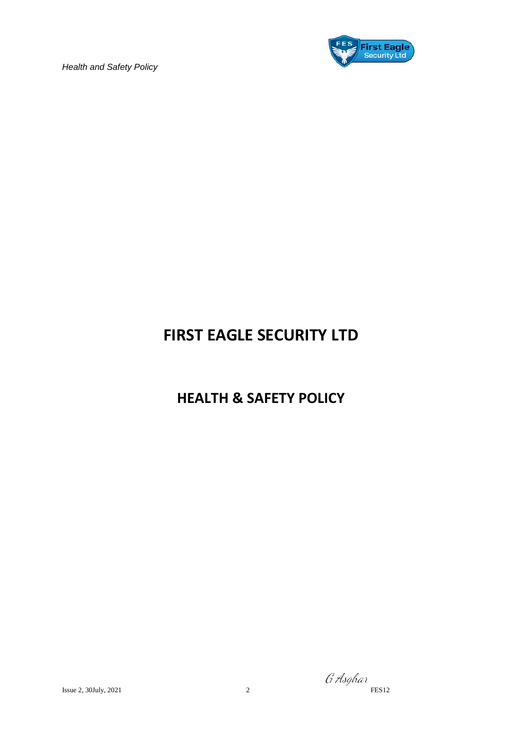

### **FIRST EAGLE SECURITY LTD**

### **HEALTH & SAFETY POLICY**

G Asghar Issue 2, 30July, 2021 2 FES12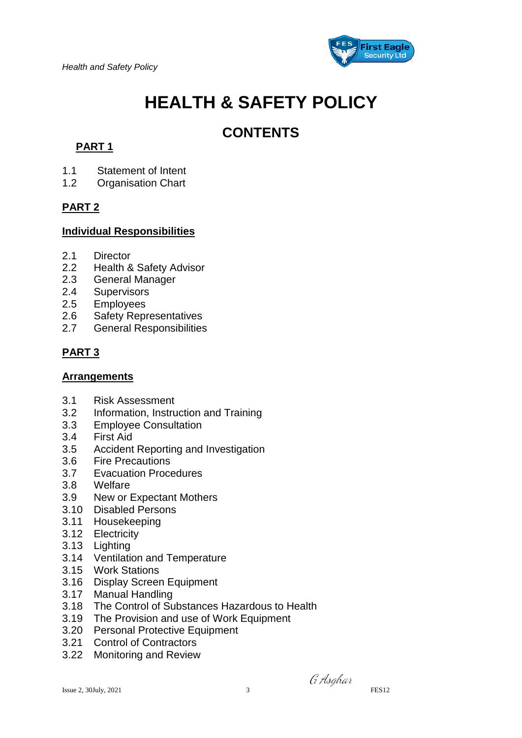

# **HEALTH & SAFETY POLICY**

### **CONTENTS**

### **PART 1**

- 1.1 Statement of Intent
- 1.2 Organisation Chart

#### **PART 2**

#### **Individual Responsibilities**

- 2.1 Director
- 2.2 Health & Safety Advisor
- 2.3 General Manager
- 2.4 Supervisors
- 2.5 Employees
- 2.6 Safety Representatives
- 2.7 General Responsibilities

### **PART 3**

#### **Arrangements**

- 3.1 Risk Assessment
- 3.2 Information, Instruction and Training
- 3.3 Employee Consultation
- 3.4 First Aid
- 3.5 Accident Reporting and Investigation
- 3.6 Fire Precautions
- 3.7 Evacuation Procedures
- 3.8 Welfare
- 3.9 New or Expectant Mothers
- 3.10 Disabled Persons
- 3.11 Housekeeping
- 3.12 Electricity
- 3.13 Lighting
- 3.14 Ventilation and Temperature
- 3.15 Work Stations
- 3.16 Display Screen Equipment
- 3.17 Manual Handling
- 3.18 The Control of Substances Hazardous to Health
- 3.19 The Provision and use of Work Equipment
- 3.20 Personal Protective Equipment
- 3.21 Control of Contractors
- 3.22 Monitoring and Review

Issue 2, 30July, 2021 3

G Asghar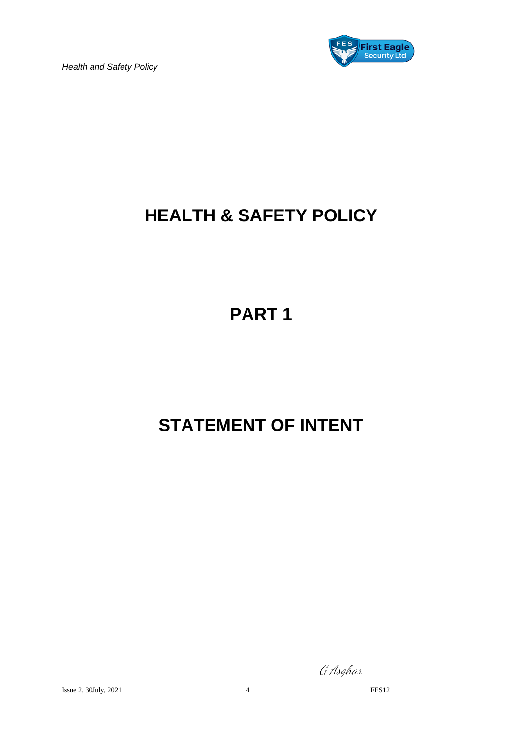

# **HEALTH & SAFETY POLICY**

# **PART 1**

# **STATEMENT OF INTENT**

G Asghar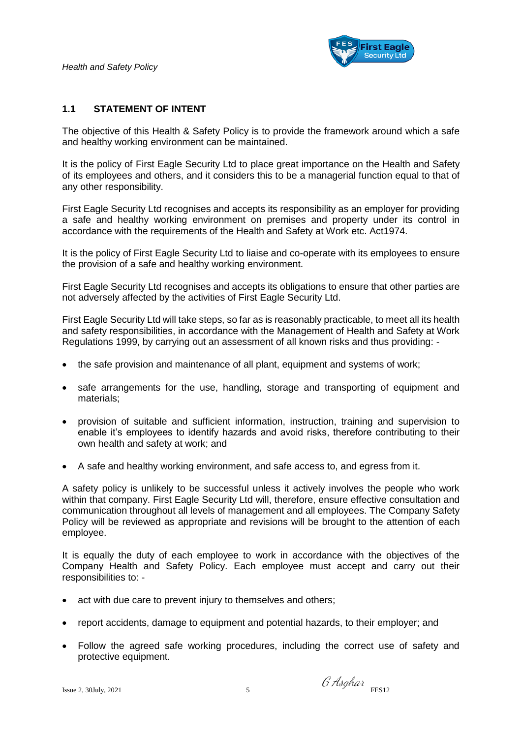

#### **1.1 STATEMENT OF INTENT**

The objective of this Health & Safety Policy is to provide the framework around which a safe and healthy working environment can be maintained.

It is the policy of First Eagle Security Ltd to place great importance on the Health and Safety of its employees and others, and it considers this to be a managerial function equal to that of any other responsibility.

First Eagle Security Ltd recognises and accepts its responsibility as an employer for providing a safe and healthy working environment on premises and property under its control in accordance with the requirements of the Health and Safety at Work etc. Act1974.

It is the policy of First Eagle Security Ltd to liaise and co-operate with its employees to ensure the provision of a safe and healthy working environment.

First Eagle Security Ltd recognises and accepts its obligations to ensure that other parties are not adversely affected by the activities of First Eagle Security Ltd.

First Eagle Security Ltd will take steps, so far as is reasonably practicable, to meet all its health and safety responsibilities, in accordance with the Management of Health and Safety at Work Regulations 1999, by carrying out an assessment of all known risks and thus providing: -

- the safe provision and maintenance of all plant, equipment and systems of work;
- safe arrangements for the use, handling, storage and transporting of equipment and materials;
- provision of suitable and sufficient information, instruction, training and supervision to enable it's employees to identify hazards and avoid risks, therefore contributing to their own health and safety at work; and
- A safe and healthy working environment, and safe access to, and egress from it.

A safety policy is unlikely to be successful unless it actively involves the people who work within that company. First Eagle Security Ltd will, therefore, ensure effective consultation and communication throughout all levels of management and all employees. The Company Safety Policy will be reviewed as appropriate and revisions will be brought to the attention of each employee.

It is equally the duty of each employee to work in accordance with the objectives of the Company Health and Safety Policy. Each employee must accept and carry out their responsibilities to: -

- act with due care to prevent injury to themselves and others;
- report accidents, damage to equipment and potential hazards, to their employer; and
- Follow the agreed safe working procedures, including the correct use of safety and protective equipment.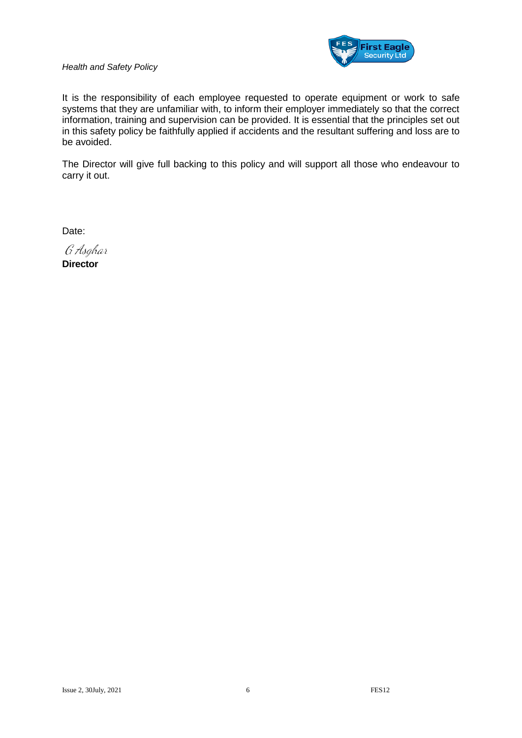

It is the responsibility of each employee requested to operate equipment or work to safe systems that they are unfamiliar with, to inform their employer immediately so that the correct information, training and supervision can be provided. It is essential that the principles set out in this safety policy be faithfully applied if accidents and the resultant suffering and loss are to be avoided.

The Director will give full backing to this policy and will support all those who endeavour to carry it out.

Date:

G Asghar **Director**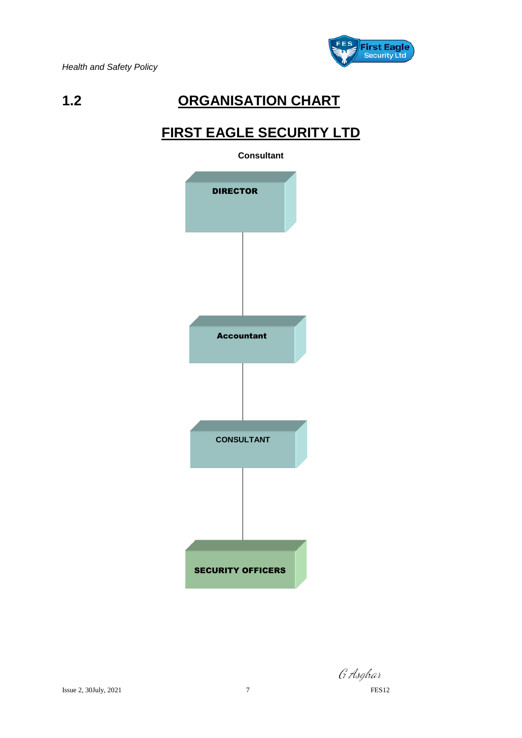

### **1.2 ORGANISATION CHART**

### **FIRST EAGLE SECURITY LTD**



G Asghar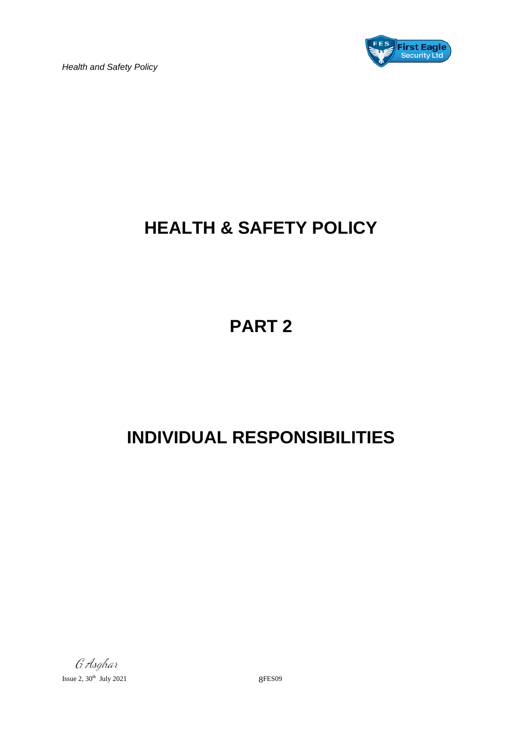

# **HEALTH & SAFETY POLICY**

**PART 2**

# **INDIVIDUAL RESPONSIBILITIES**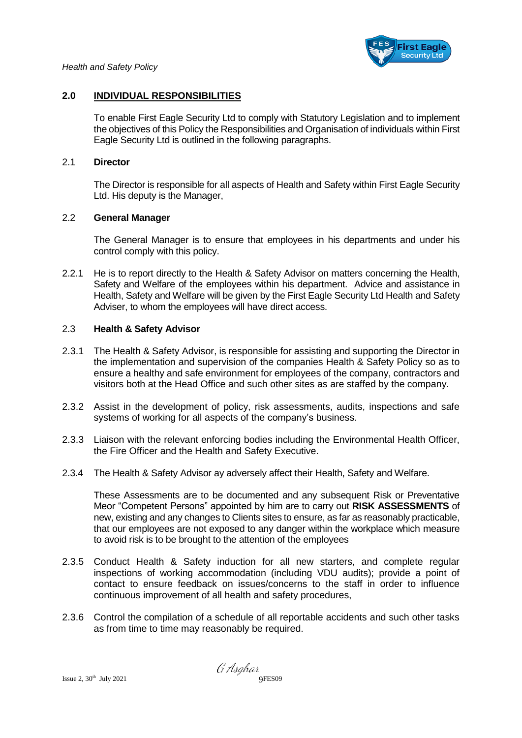

#### **2.0 INDIVIDUAL RESPONSIBILITIES**

To enable First Eagle Security Ltd to comply with Statutory Legislation and to implement the objectives of this Policy the Responsibilities and Organisation of individuals within First Eagle Security Ltd is outlined in the following paragraphs.

#### 2.1 **Director**

The Director is responsible for all aspects of Health and Safety within First Eagle Security Ltd. His deputy is the Manager,

#### 2.2 **General Manager**

The General Manager is to ensure that employees in his departments and under his control comply with this policy.

2.2.1 He is to report directly to the Health & Safety Advisor on matters concerning the Health, Safety and Welfare of the employees within his department. Advice and assistance in Health, Safety and Welfare will be given by the First Eagle Security Ltd Health and Safety Adviser, to whom the employees will have direct access.

#### 2.3 **Health & Safety Advisor**

- 2.3.1 The Health & Safety Advisor, is responsible for assisting and supporting the Director in the implementation and supervision of the companies Health & Safety Policy so as to ensure a healthy and safe environment for employees of the company, contractors and visitors both at the Head Office and such other sites as are staffed by the company.
- 2.3.2 Assist in the development of policy, risk assessments, audits, inspections and safe systems of working for all aspects of the company's business.
- 2.3.3 Liaison with the relevant enforcing bodies including the Environmental Health Officer, the Fire Officer and the Health and Safety Executive.
- 2.3.4 The Health & Safety Advisor ay adversely affect their Health, Safety and Welfare.

These Assessments are to be documented and any subsequent Risk or Preventative Meor "Competent Persons" appointed by him are to carry out **RISK ASSESSMENTS** of new, existing and any changes to Clients sites to ensure, as far as reasonably practicable, that our employees are not exposed to any danger within the workplace which measure to avoid risk is to be brought to the attention of the employees

- 2.3.5 Conduct Health & Safety induction for all new starters, and complete regular inspections of working accommodation (including VDU audits); provide a point of contact to ensure feedback on issues/concerns to the staff in order to influence continuous improvement of all health and safety procedures,
- 2.3.6 Control the compilation of a schedule of all reportable accidents and such other tasks as from time to time may reasonably be required.

 $\emph{G' Asghar} \\ \emph{Jsue 2, 30<sup>th</sup> July 2021} \\ \emph{G' Asghar} \\ \emph{9FES09}$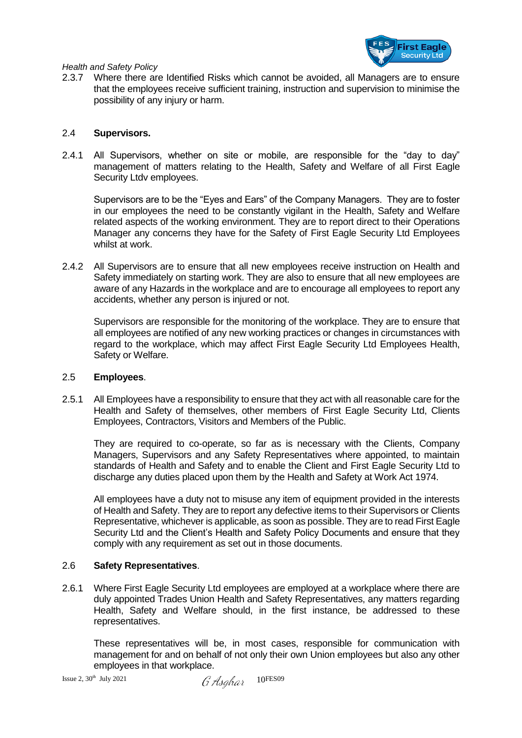

2.3.7 Where there are Identified Risks which cannot be avoided, all Managers are to ensure that the employees receive sufficient training, instruction and supervision to minimise the possibility of any injury or harm.

#### 2.4 **Supervisors.**

2.4.1 All Supervisors, whether on site or mobile, are responsible for the "day to day" management of matters relating to the Health, Safety and Welfare of all First Eagle Security Ltdv employees.

Supervisors are to be the "Eyes and Ears" of the Company Managers. They are to foster in our employees the need to be constantly vigilant in the Health, Safety and Welfare related aspects of the working environment. They are to report direct to their Operations Manager any concerns they have for the Safety of First Eagle Security Ltd Employees whilst at work.

2.4.2 All Supervisors are to ensure that all new employees receive instruction on Health and Safety immediately on starting work. They are also to ensure that all new employees are aware of any Hazards in the workplace and are to encourage all employees to report any accidents, whether any person is injured or not.

Supervisors are responsible for the monitoring of the workplace. They are to ensure that all employees are notified of any new working practices or changes in circumstances with regard to the workplace, which may affect First Eagle Security Ltd Employees Health, Safety or Welfare.

#### 2.5 **Employees**.

2.5.1 All Employees have a responsibility to ensure that they act with all reasonable care for the Health and Safety of themselves, other members of First Eagle Security Ltd, Clients Employees, Contractors, Visitors and Members of the Public.

They are required to co-operate, so far as is necessary with the Clients, Company Managers, Supervisors and any Safety Representatives where appointed, to maintain standards of Health and Safety and to enable the Client and First Eagle Security Ltd to discharge any duties placed upon them by the Health and Safety at Work Act 1974.

All employees have a duty not to misuse any item of equipment provided in the interests of Health and Safety. They are to report any defective items to their Supervisors or Clients Representative, whichever is applicable, as soon as possible. They are to read First Eagle Security Ltd and the Client's Health and Safety Policy Documents and ensure that they comply with any requirement as set out in those documents.

#### 2.6 **Safety Representatives**.

2.6.1 Where First Eagle Security Ltd employees are employed at a workplace where there are duly appointed Trades Union Health and Safety Representatives, any matters regarding Health, Safety and Welfare should, in the first instance, be addressed to these representatives.

These representatives will be, in most cases, responsible for communication with management for and on behalf of not only their own Union employees but also any other employees in that workplace.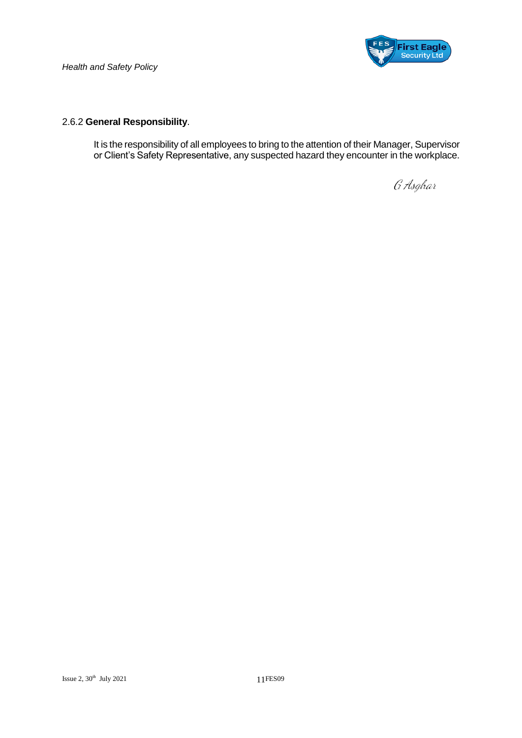

#### 2.6.2 **General Responsibility**.

It is the responsibility of all employees to bring to the attention of their Manager, Supervisor or Client's Safety Representative, any suspected hazard they encounter in the workplace.

G Asghar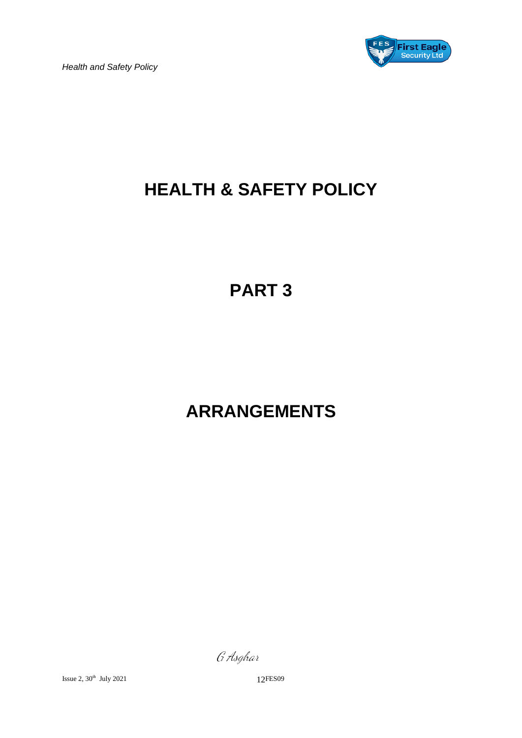

# **HEALTH & SAFETY POLICY**

# **PART 3**

# **ARRANGEMENTS**

G Asghar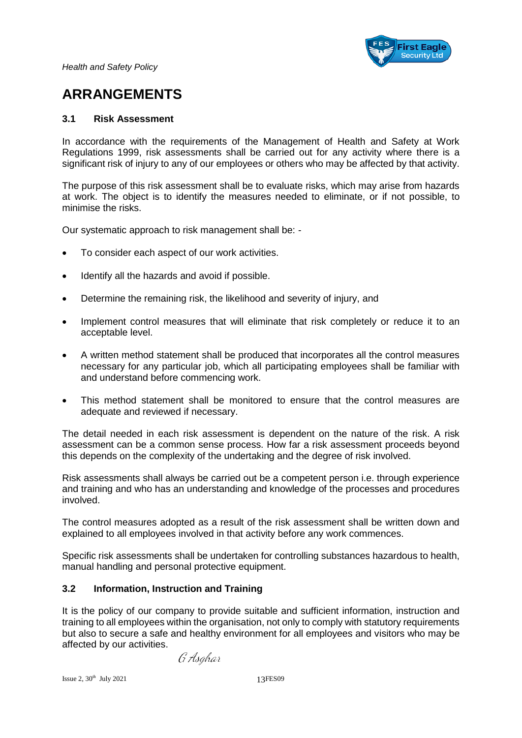

### **ARRANGEMENTS**

#### **3.1 Risk Assessment**

In accordance with the requirements of the Management of Health and Safety at Work Regulations 1999, risk assessments shall be carried out for any activity where there is a significant risk of injury to any of our employees or others who may be affected by that activity.

The purpose of this risk assessment shall be to evaluate risks, which may arise from hazards at work. The object is to identify the measures needed to eliminate, or if not possible, to minimise the risks.

Our systematic approach to risk management shall be: -

- To consider each aspect of our work activities.
- Identify all the hazards and avoid if possible.
- Determine the remaining risk, the likelihood and severity of injury, and
- Implement control measures that will eliminate that risk completely or reduce it to an acceptable level.
- A written method statement shall be produced that incorporates all the control measures necessary for any particular job, which all participating employees shall be familiar with and understand before commencing work.
- This method statement shall be monitored to ensure that the control measures are adequate and reviewed if necessary.

The detail needed in each risk assessment is dependent on the nature of the risk. A risk assessment can be a common sense process. How far a risk assessment proceeds beyond this depends on the complexity of the undertaking and the degree of risk involved.

Risk assessments shall always be carried out be a competent person i.e. through experience and training and who has an understanding and knowledge of the processes and procedures involved.

The control measures adopted as a result of the risk assessment shall be written down and explained to all employees involved in that activity before any work commences.

Specific risk assessments shall be undertaken for controlling substances hazardous to health, manual handling and personal protective equipment.

#### **3.2 Information, Instruction and Training**

It is the policy of our company to provide suitable and sufficient information, instruction and training to all employees within the organisation, not only to comply with statutory requirements but also to secure a safe and healthy environment for all employees and visitors who may be affected by our activities.

G Asghar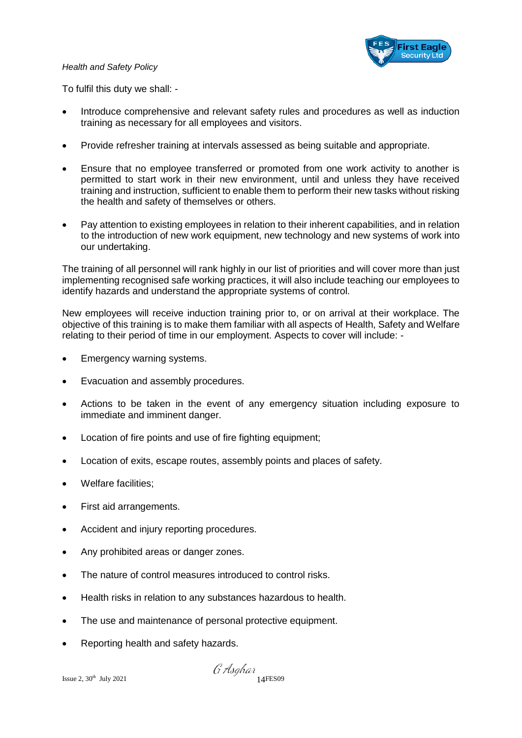

To fulfil this duty we shall: -

- Introduce comprehensive and relevant safety rules and procedures as well as induction training as necessary for all employees and visitors.
- Provide refresher training at intervals assessed as being suitable and appropriate.
- Ensure that no employee transferred or promoted from one work activity to another is permitted to start work in their new environment, until and unless they have received training and instruction, sufficient to enable them to perform their new tasks without risking the health and safety of themselves or others.
- Pay attention to existing employees in relation to their inherent capabilities, and in relation to the introduction of new work equipment, new technology and new systems of work into our undertaking.

The training of all personnel will rank highly in our list of priorities and will cover more than just implementing recognised safe working practices, it will also include teaching our employees to identify hazards and understand the appropriate systems of control.

New employees will receive induction training prior to, or on arrival at their workplace. The objective of this training is to make them familiar with all aspects of Health, Safety and Welfare relating to their period of time in our employment. Aspects to cover will include: -

- Emergency warning systems.
- Evacuation and assembly procedures.
- Actions to be taken in the event of any emergency situation including exposure to immediate and imminent danger.
- Location of fire points and use of fire fighting equipment;
- Location of exits, escape routes, assembly points and places of safety.
- Welfare facilities;
- First aid arrangements.
- Accident and injury reporting procedures.
- Any prohibited areas or danger zones.
- The nature of control measures introduced to control risks.
- Health risks in relation to any substances hazardous to health.
- The use and maintenance of personal protective equipment.
- Reporting health and safety hazards.

 $\emph{isque 2, 30th July 2021} \emph{14FES09}$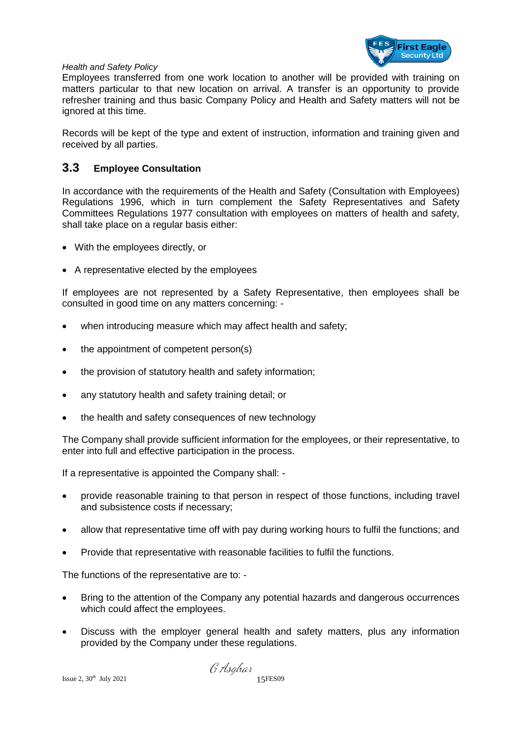

Employees transferred from one work location to another will be provided with training on matters particular to that new location on arrival. A transfer is an opportunity to provide refresher training and thus basic Company Policy and Health and Safety matters will not be ignored at this time.

Records will be kept of the type and extent of instruction, information and training given and received by all parties.

#### **3.3 Employee Consultation**

In accordance with the requirements of the Health and Safety (Consultation with Employees) Regulations 1996, which in turn complement the Safety Representatives and Safety Committees Regulations 1977 consultation with employees on matters of health and safety, shall take place on a regular basis either:

- With the employees directly, or
- A representative elected by the employees

If employees are not represented by a Safety Representative, then employees shall be consulted in good time on any matters concerning: -

- when introducing measure which may affect health and safety;
- the appointment of competent person(s)
- the provision of statutory health and safety information;
- any statutory health and safety training detail; or
- the health and safety consequences of new technology

The Company shall provide sufficient information for the employees, or their representative, to enter into full and effective participation in the process.

If a representative is appointed the Company shall: -

- provide reasonable training to that person in respect of those functions, including travel and subsistence costs if necessary;
- allow that representative time off with pay during working hours to fulfil the functions; and
- Provide that representative with reasonable facilities to fulfil the functions.

The functions of the representative are to: -

- Bring to the attention of the Company any potential hazards and dangerous occurrences which could affect the employees.
- Discuss with the employer general health and safety matters, plus any information provided by the Company under these regulations.

 $I$  Issue 2, 30<sup>th</sup> July 2021 15FES09

G Asghar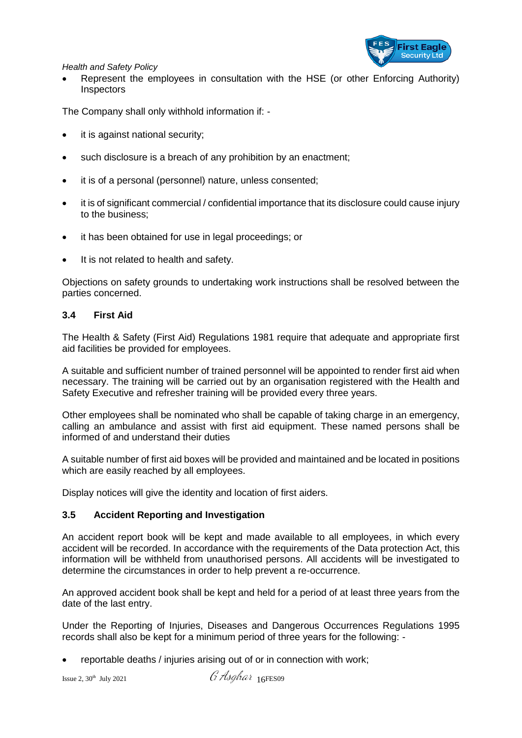

 Represent the employees in consultation with the HSE (or other Enforcing Authority) **Inspectors** 

The Company shall only withhold information if: -

- it is against national security;
- such disclosure is a breach of any prohibition by an enactment;
- it is of a personal (personnel) nature, unless consented;
- it is of significant commercial / confidential importance that its disclosure could cause injury to the business;
- it has been obtained for use in legal proceedings; or
- It is not related to health and safety.

Objections on safety grounds to undertaking work instructions shall be resolved between the parties concerned.

#### **3.4 First Aid**

The Health & Safety (First Aid) Regulations 1981 require that adequate and appropriate first aid facilities be provided for employees.

A suitable and sufficient number of trained personnel will be appointed to render first aid when necessary. The training will be carried out by an organisation registered with the Health and Safety Executive and refresher training will be provided every three years.

Other employees shall be nominated who shall be capable of taking charge in an emergency, calling an ambulance and assist with first aid equipment. These named persons shall be informed of and understand their duties

A suitable number of first aid boxes will be provided and maintained and be located in positions which are easily reached by all employees.

Display notices will give the identity and location of first aiders.

#### **3.5 Accident Reporting and Investigation**

An accident report book will be kept and made available to all employees, in which every accident will be recorded. In accordance with the requirements of the Data protection Act, this information will be withheld from unauthorised persons. All accidents will be investigated to determine the circumstances in order to help prevent a re-occurrence.

An approved accident book shall be kept and held for a period of at least three years from the date of the last entry.

Under the Reporting of Injuries, Diseases and Dangerous Occurrences Regulations 1995 records shall also be kept for a minimum period of three years for the following: -

reportable deaths / injuries arising out of or in connection with work;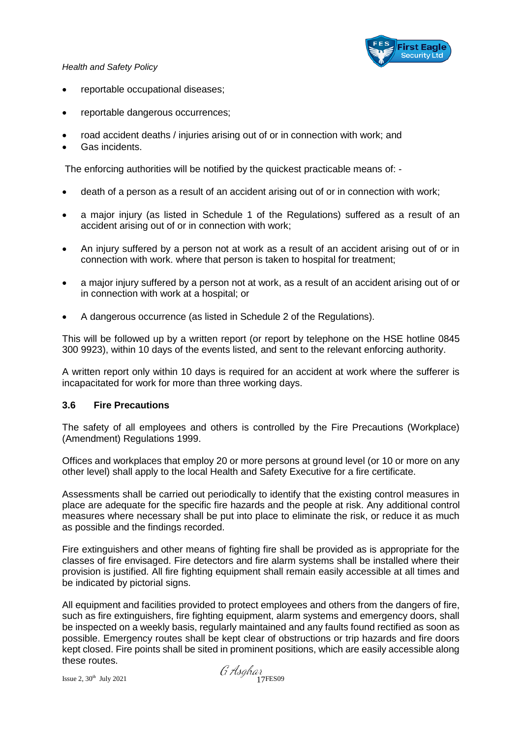

- reportable occupational diseases;
- reportable dangerous occurrences;
- road accident deaths / injuries arising out of or in connection with work; and
- Gas incidents.

The enforcing authorities will be notified by the quickest practicable means of: -

- death of a person as a result of an accident arising out of or in connection with work;
- a major injury (as listed in Schedule 1 of the Regulations) suffered as a result of an accident arising out of or in connection with work;
- An injury suffered by a person not at work as a result of an accident arising out of or in connection with work. where that person is taken to hospital for treatment;
- a major injury suffered by a person not at work, as a result of an accident arising out of or in connection with work at a hospital; or
- A dangerous occurrence (as listed in Schedule 2 of the Regulations).

This will be followed up by a written report (or report by telephone on the HSE hotline 0845 300 9923), within 10 days of the events listed, and sent to the relevant enforcing authority.

A written report only within 10 days is required for an accident at work where the sufferer is incapacitated for work for more than three working days.

#### **3.6 Fire Precautions**

The safety of all employees and others is controlled by the Fire Precautions (Workplace) (Amendment) Regulations 1999.

Offices and workplaces that employ 20 or more persons at ground level (or 10 or more on any other level) shall apply to the local Health and Safety Executive for a fire certificate.

Assessments shall be carried out periodically to identify that the existing control measures in place are adequate for the specific fire hazards and the people at risk. Any additional control measures where necessary shall be put into place to eliminate the risk, or reduce it as much as possible and the findings recorded.

Fire extinguishers and other means of fighting fire shall be provided as is appropriate for the classes of fire envisaged. Fire detectors and fire alarm systems shall be installed where their provision is justified. All fire fighting equipment shall remain easily accessible at all times and be indicated by pictorial signs.

All equipment and facilities provided to protect employees and others from the dangers of fire, such as fire extinguishers, fire fighting equipment, alarm systems and emergency doors, shall be inspected on a weekly basis, regularly maintained and any faults found rectified as soon as possible. Emergency routes shall be kept clear of obstructions or trip hazards and fire doors kept closed. Fire points shall be sited in prominent positions, which are easily accessible along these routes.

Issue 2,  $30^{\text{th}}$  July 2021  $\alpha$  17FES09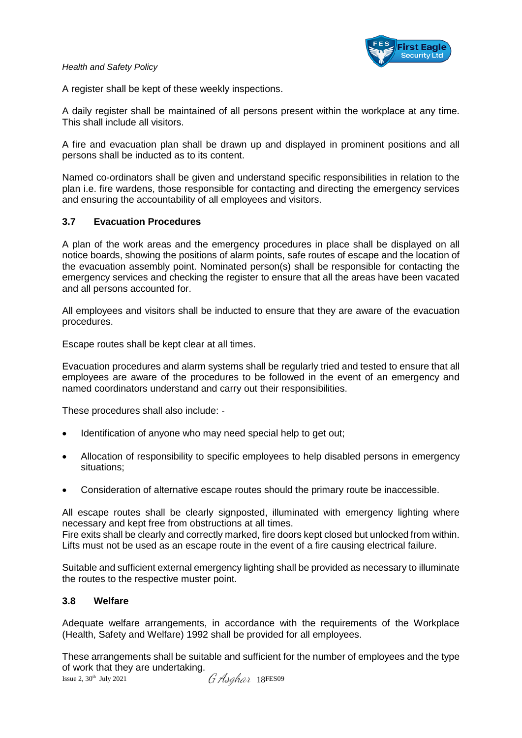

A register shall be kept of these weekly inspections.

A daily register shall be maintained of all persons present within the workplace at any time. This shall include all visitors.

A fire and evacuation plan shall be drawn up and displayed in prominent positions and all persons shall be inducted as to its content.

Named co-ordinators shall be given and understand specific responsibilities in relation to the plan i.e. fire wardens, those responsible for contacting and directing the emergency services and ensuring the accountability of all employees and visitors.

#### **3.7 Evacuation Procedures**

A plan of the work areas and the emergency procedures in place shall be displayed on all notice boards, showing the positions of alarm points, safe routes of escape and the location of the evacuation assembly point. Nominated person(s) shall be responsible for contacting the emergency services and checking the register to ensure that all the areas have been vacated and all persons accounted for.

All employees and visitors shall be inducted to ensure that they are aware of the evacuation procedures.

Escape routes shall be kept clear at all times.

Evacuation procedures and alarm systems shall be regularly tried and tested to ensure that all employees are aware of the procedures to be followed in the event of an emergency and named coordinators understand and carry out their responsibilities.

These procedures shall also include: -

- Identification of anyone who may need special help to get out;
- Allocation of responsibility to specific employees to help disabled persons in emergency situations;
- Consideration of alternative escape routes should the primary route be inaccessible.

All escape routes shall be clearly signposted, illuminated with emergency lighting where necessary and kept free from obstructions at all times.

Fire exits shall be clearly and correctly marked, fire doors kept closed but unlocked from within. Lifts must not be used as an escape route in the event of a fire causing electrical failure.

Suitable and sufficient external emergency lighting shall be provided as necessary to illuminate the routes to the respective muster point.

#### **3.8 Welfare**

Adequate welfare arrangements, in accordance with the requirements of the Workplace (Health, Safety and Welfare) 1992 shall be provided for all employees.

These arrangements shall be suitable and sufficient for the number of employees and the type of work that they are undertaking.

Issue 2, 30<sup>th</sup> July 2021  $G$  Asahar 18FES09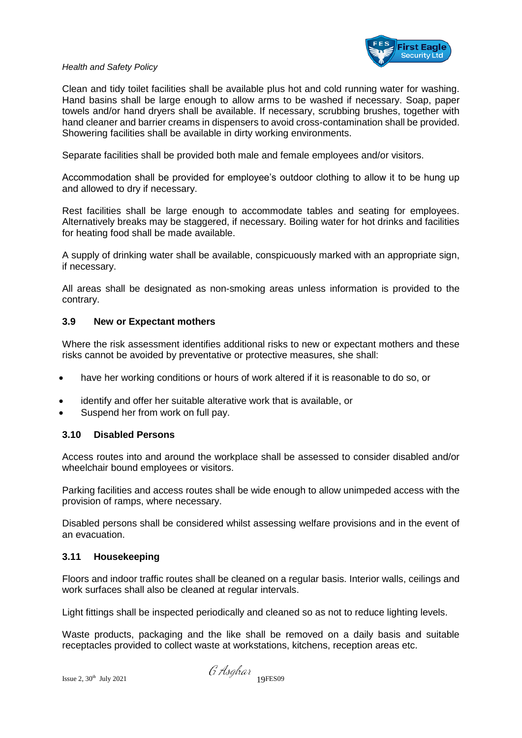

Clean and tidy toilet facilities shall be available plus hot and cold running water for washing. Hand basins shall be large enough to allow arms to be washed if necessary. Soap, paper towels and/or hand dryers shall be available. If necessary, scrubbing brushes, together with hand cleaner and barrier creams in dispensers to avoid cross-contamination shall be provided. Showering facilities shall be available in dirty working environments.

Separate facilities shall be provided both male and female employees and/or visitors.

Accommodation shall be provided for employee's outdoor clothing to allow it to be hung up and allowed to dry if necessary.

Rest facilities shall be large enough to accommodate tables and seating for employees. Alternatively breaks may be staggered, if necessary. Boiling water for hot drinks and facilities for heating food shall be made available.

A supply of drinking water shall be available, conspicuously marked with an appropriate sign, if necessary.

All areas shall be designated as non-smoking areas unless information is provided to the contrary.

#### **3.9 New or Expectant mothers**

Where the risk assessment identifies additional risks to new or expectant mothers and these risks cannot be avoided by preventative or protective measures, she shall:

- have her working conditions or hours of work altered if it is reasonable to do so, or
- identify and offer her suitable alterative work that is available, or
- Suspend her from work on full pay.

#### **3.10 Disabled Persons**

Access routes into and around the workplace shall be assessed to consider disabled and/or wheelchair bound employees or visitors.

Parking facilities and access routes shall be wide enough to allow unimpeded access with the provision of ramps, where necessary.

Disabled persons shall be considered whilst assessing welfare provisions and in the event of an evacuation.

#### **3.11 Housekeeping**

Floors and indoor traffic routes shall be cleaned on a regular basis. Interior walls, ceilings and work surfaces shall also be cleaned at regular intervals.

Light fittings shall be inspected periodically and cleaned so as not to reduce lighting levels.

Waste products, packaging and the like shall be removed on a daily basis and suitable receptacles provided to collect waste at workstations, kitchens, reception areas etc.

 $\emph{isque 2, 30th} \text{ July 2021} \qquad \qquad \emph{is que 2, 30th} \qquad \emph{19FES09}$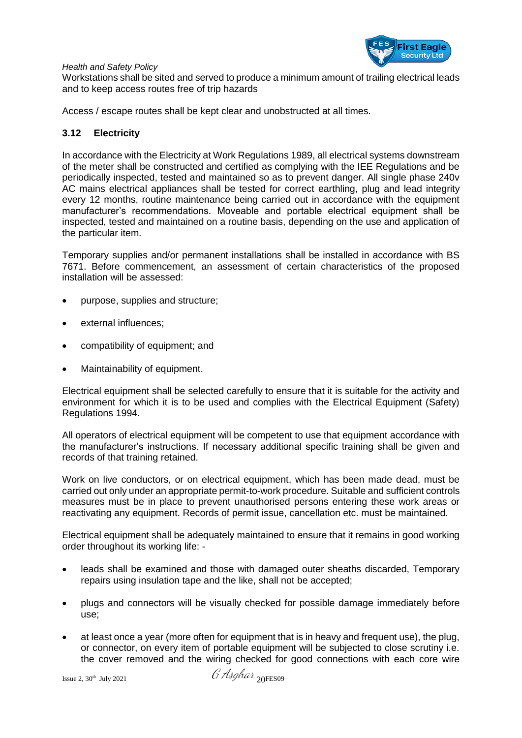

Workstations shall be sited and served to produce a minimum amount of trailing electrical leads and to keep access routes free of trip hazards

Access / escape routes shall be kept clear and unobstructed at all times.

#### **3.12 Electricity**

In accordance with the Electricity at Work Regulations 1989, all electrical systems downstream of the meter shall be constructed and certified as complying with the IEE Regulations and be periodically inspected, tested and maintained so as to prevent danger. All single phase 240v AC mains electrical appliances shall be tested for correct earthling, plug and lead integrity every 12 months, routine maintenance being carried out in accordance with the equipment manufacturer's recommendations. Moveable and portable electrical equipment shall be inspected, tested and maintained on a routine basis, depending on the use and application of the particular item.

Temporary supplies and/or permanent installations shall be installed in accordance with BS 7671. Before commencement, an assessment of certain characteristics of the proposed installation will be assessed:

- purpose, supplies and structure;
- external influences:
- compatibility of equipment: and
- Maintainability of equipment.

Electrical equipment shall be selected carefully to ensure that it is suitable for the activity and environment for which it is to be used and complies with the Electrical Equipment (Safety) Regulations 1994.

All operators of electrical equipment will be competent to use that equipment accordance with the manufacturer's instructions. If necessary additional specific training shall be given and records of that training retained.

Work on live conductors, or on electrical equipment, which has been made dead, must be carried out only under an appropriate permit-to-work procedure. Suitable and sufficient controls measures must be in place to prevent unauthorised persons entering these work areas or reactivating any equipment. Records of permit issue, cancellation etc. must be maintained.

Electrical equipment shall be adequately maintained to ensure that it remains in good working order throughout its working life: -

- leads shall be examined and those with damaged outer sheaths discarded, Temporary repairs using insulation tape and the like, shall not be accepted;
- plugs and connectors will be visually checked for possible damage immediately before use;
- at least once a year (more often for equipment that is in heavy and frequent use), the plug, or connector, on every item of portable equipment will be subjected to close scrutiny i.e. the cover removed and the wiring checked for good connections with each core wire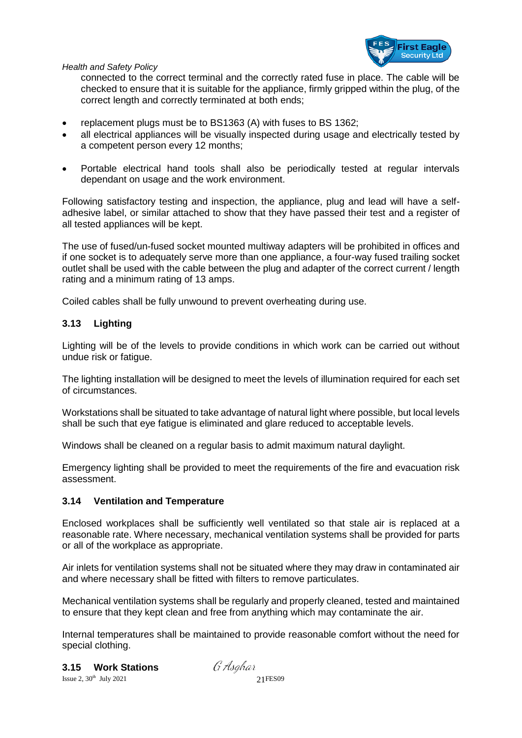

connected to the correct terminal and the correctly rated fuse in place. The cable will be checked to ensure that it is suitable for the appliance, firmly gripped within the plug, of the correct length and correctly terminated at both ends;

- replacement plugs must be to BS1363 (A) with fuses to BS 1362;
- all electrical appliances will be visually inspected during usage and electrically tested by a competent person every 12 months;
- Portable electrical hand tools shall also be periodically tested at regular intervals dependant on usage and the work environment.

Following satisfactory testing and inspection, the appliance, plug and lead will have a selfadhesive label, or similar attached to show that they have passed their test and a register of all tested appliances will be kept.

The use of fused/un-fused socket mounted multiway adapters will be prohibited in offices and if one socket is to adequately serve more than one appliance, a four-way fused trailing socket outlet shall be used with the cable between the plug and adapter of the correct current / length rating and a minimum rating of 13 amps.

Coiled cables shall be fully unwound to prevent overheating during use.

#### **3.13 Lighting**

Lighting will be of the levels to provide conditions in which work can be carried out without undue risk or fatigue.

The lighting installation will be designed to meet the levels of illumination required for each set of circumstances.

Workstations shall be situated to take advantage of natural light where possible, but local levels shall be such that eye fatigue is eliminated and glare reduced to acceptable levels.

Windows shall be cleaned on a regular basis to admit maximum natural daylight.

Emergency lighting shall be provided to meet the requirements of the fire and evacuation risk assessment.

#### **3.14 Ventilation and Temperature**

Enclosed workplaces shall be sufficiently well ventilated so that stale air is replaced at a reasonable rate. Where necessary, mechanical ventilation systems shall be provided for parts or all of the workplace as appropriate.

Air inlets for ventilation systems shall not be situated where they may draw in contaminated air and where necessary shall be fitted with filters to remove particulates.

Mechanical ventilation systems shall be regularly and properly cleaned, tested and maintained to ensure that they kept clean and free from anything which may contaminate the air.

Internal temperatures shall be maintained to provide reasonable comfort without the need for special clothing.

**3.15 Work Stations**

Issue 2,  $30^{\text{th}}$  July 2021 21 FES09

G Asahar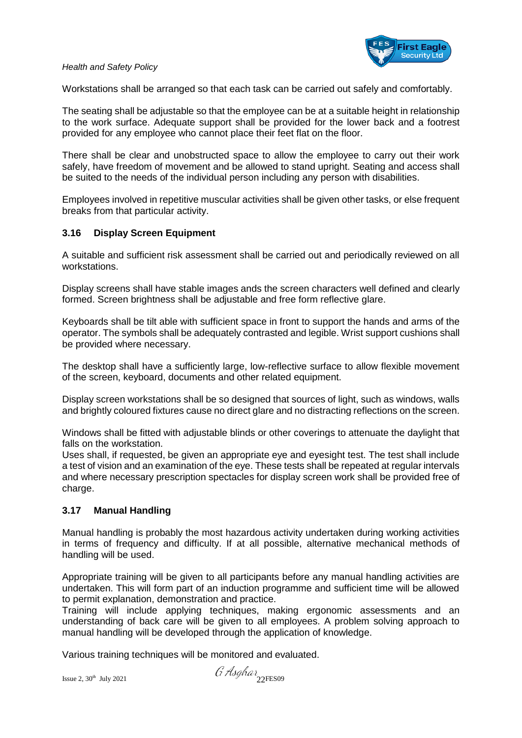

Workstations shall be arranged so that each task can be carried out safely and comfortably.

The seating shall be adjustable so that the employee can be at a suitable height in relationship to the work surface. Adequate support shall be provided for the lower back and a footrest provided for any employee who cannot place their feet flat on the floor.

There shall be clear and unobstructed space to allow the employee to carry out their work safely, have freedom of movement and be allowed to stand upright. Seating and access shall be suited to the needs of the individual person including any person with disabilities.

Employees involved in repetitive muscular activities shall be given other tasks, or else frequent breaks from that particular activity.

#### **3.16 Display Screen Equipment**

A suitable and sufficient risk assessment shall be carried out and periodically reviewed on all workstations.

Display screens shall have stable images ands the screen characters well defined and clearly formed. Screen brightness shall be adjustable and free form reflective glare.

Keyboards shall be tilt able with sufficient space in front to support the hands and arms of the operator. The symbols shall be adequately contrasted and legible. Wrist support cushions shall be provided where necessary.

The desktop shall have a sufficiently large, low-reflective surface to allow flexible movement of the screen, keyboard, documents and other related equipment.

Display screen workstations shall be so designed that sources of light, such as windows, walls and brightly coloured fixtures cause no direct glare and no distracting reflections on the screen.

Windows shall be fitted with adjustable blinds or other coverings to attenuate the daylight that falls on the workstation.

Uses shall, if requested, be given an appropriate eye and eyesight test. The test shall include a test of vision and an examination of the eye. These tests shall be repeated at regular intervals and where necessary prescription spectacles for display screen work shall be provided free of charge.

#### **3.17 Manual Handling**

Manual handling is probably the most hazardous activity undertaken during working activities in terms of frequency and difficulty. If at all possible, alternative mechanical methods of handling will be used.

Appropriate training will be given to all participants before any manual handling activities are undertaken. This will form part of an induction programme and sufficient time will be allowed to permit explanation, demonstration and practice.

Training will include applying techniques, making ergonomic assessments and an understanding of back care will be given to all employees. A problem solving approach to manual handling will be developed through the application of knowledge.

Various training techniques will be monitored and evaluated.

Issue 2,  $30^{\text{th}}$  July 2021  $\int'_{1}$  Asghar  $\int'_{22}$ FES09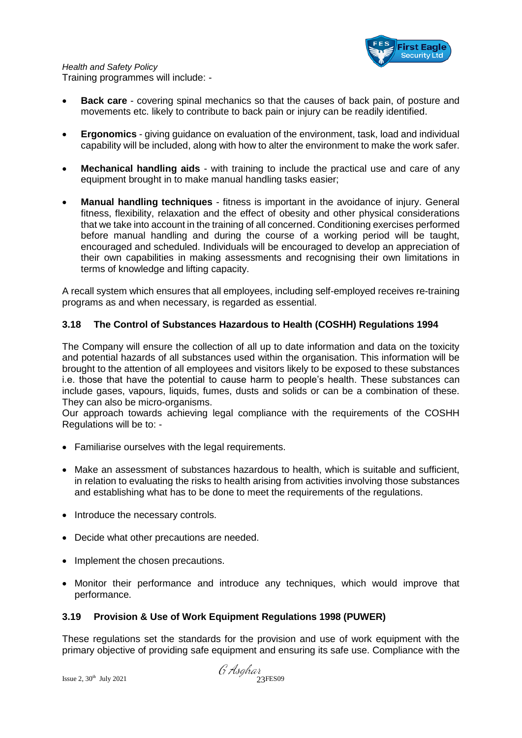

- **Back care** covering spinal mechanics so that the causes of back pain, of posture and movements etc. likely to contribute to back pain or injury can be readily identified.
- **Ergonomics** giving guidance on evaluation of the environment, task, load and individual capability will be included, along with how to alter the environment to make the work safer.
- **Mechanical handling aids** with training to include the practical use and care of any equipment brought in to make manual handling tasks easier;
- **Manual handling techniques** fitness is important in the avoidance of injury. General fitness, flexibility, relaxation and the effect of obesity and other physical considerations that we take into account in the training of all concerned. Conditioning exercises performed before manual handling and during the course of a working period will be taught, encouraged and scheduled. Individuals will be encouraged to develop an appreciation of their own capabilities in making assessments and recognising their own limitations in terms of knowledge and lifting capacity.

A recall system which ensures that all employees, including self-employed receives re-training programs as and when necessary, is regarded as essential.

#### **3.18 The Control of Substances Hazardous to Health (COSHH) Regulations 1994**

The Company will ensure the collection of all up to date information and data on the toxicity and potential hazards of all substances used within the organisation. This information will be brought to the attention of all employees and visitors likely to be exposed to these substances i.e. those that have the potential to cause harm to people's health. These substances can include gases, vapours, liquids, fumes, dusts and solids or can be a combination of these. They can also be micro-organisms.

Our approach towards achieving legal compliance with the requirements of the COSHH Regulations will be to: -

- Familiarise ourselves with the legal requirements.
- Make an assessment of substances hazardous to health, which is suitable and sufficient, in relation to evaluating the risks to health arising from activities involving those substances and establishing what has to be done to meet the requirements of the regulations.
- Introduce the necessary controls.
- Decide what other precautions are needed.
- Implement the chosen precautions.
- Monitor their performance and introduce any techniques, which would improve that performance.

#### **3.19 Provision & Use of Work Equipment Regulations 1998 (PUWER)**

These regulations set the standards for the provision and use of work equipment with the primary objective of providing safe equipment and ensuring its safe use. Compliance with the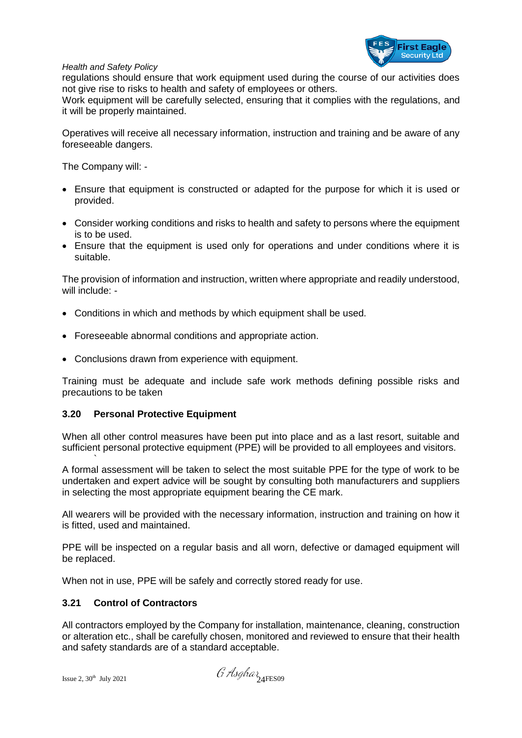

regulations should ensure that work equipment used during the course of our activities does not give rise to risks to health and safety of employees or others.

Work equipment will be carefully selected, ensuring that it complies with the regulations, and it will be properly maintained.

Operatives will receive all necessary information, instruction and training and be aware of any foreseeable dangers.

The Company will: -

- Ensure that equipment is constructed or adapted for the purpose for which it is used or provided.
- Consider working conditions and risks to health and safety to persons where the equipment is to be used.
- Ensure that the equipment is used only for operations and under conditions where it is suitable.

The provision of information and instruction, written where appropriate and readily understood, will include: -

- Conditions in which and methods by which equipment shall be used.
- Foreseeable abnormal conditions and appropriate action.
- Conclusions drawn from experience with equipment.

Training must be adequate and include safe work methods defining possible risks and precautions to be taken

#### **3.20 Personal Protective Equipment**

When all other control measures have been put into place and as a last resort, suitable and sufficient personal protective equipment (PPE) will be provided to all employees and visitors.

A formal assessment will be taken to select the most suitable PPE for the type of work to be undertaken and expert advice will be sought by consulting both manufacturers and suppliers in selecting the most appropriate equipment bearing the CE mark.

All wearers will be provided with the necessary information, instruction and training on how it is fitted, used and maintained.

PPE will be inspected on a regular basis and all worn, defective or damaged equipment will be replaced.

When not in use, PPE will be safely and correctly stored ready for use.

#### **3.21 Control of Contractors**

All contractors employed by the Company for installation, maintenance, cleaning, construction or alteration etc., shall be carefully chosen, monitored and reviewed to ensure that their health and safety standards are of a standard acceptable.

`

Issue 2,  $30^{\text{th}}$  July 2021  $\theta$  Asghar  $24$ FES09